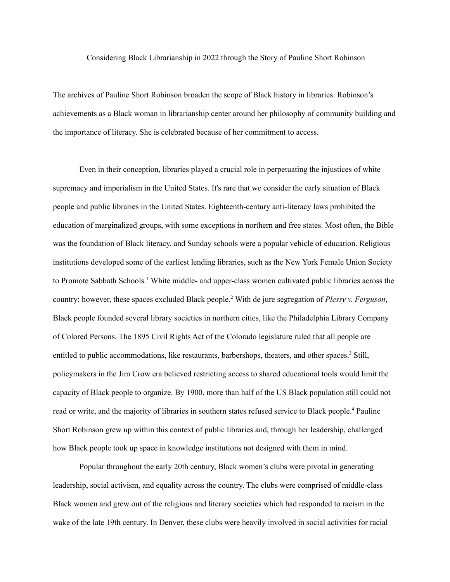Considering Black Librarianship in 2022 through the Story of Pauline Short Robinson

The archives of Pauline Short Robinson broaden the scope of Black history in libraries. Robinson's achievements as a Black woman in librarianship center around her philosophy of community building and the importance of literacy. She is celebrated because of her commitment to access.

Even in their conception, libraries played a crucial role in perpetuating the injustices of white supremacy and imperialism in the United States. It's rare that we consider the early situation of Black people and public libraries in the United States. Eighteenth-century anti-literacy laws prohibited the education of marginalized groups, with some exceptions in northern and free states. Most often, the Bible was the foundation of Black literacy, and Sunday schools were a popular vehicle of education. Religious institutions developed some of the earliest lending libraries, such as the New York Female Union Society to Promote Sabbath Schools. <sup>1</sup> White middle- and upper-class women cultivated public libraries across the country; however, these spaces excluded Black people. <sup>2</sup> With de jure segregation of *Plessy v. Ferguson*, Black people founded several library societies in northern cities, like the Philadelphia Library Company of Colored Persons. The 1895 Civil Rights Act of the Colorado legislature ruled that all people are entitled to public accommodations, like restaurants, barbershops, theaters, and other spaces.<sup>3</sup> Still, policymakers in the Jim Crow era believed restricting access to shared educational tools would limit the capacity of Black people to organize. By 1900, more than half of the US Black population still could not read or write, and the majority of libraries in southern states refused service to Black people.<sup>4</sup> Pauline Short Robinson grew up within this context of public libraries and, through her leadership, challenged how Black people took up space in knowledge institutions not designed with them in mind.

Popular throughout the early 20th century, Black women's clubs were pivotal in generating leadership, social activism, and equality across the country. The clubs were comprised of middle-class Black women and grew out of the religious and literary societies which had responded to racism in the wake of the late 19th century. In Denver, these clubs were heavily involved in social activities for racial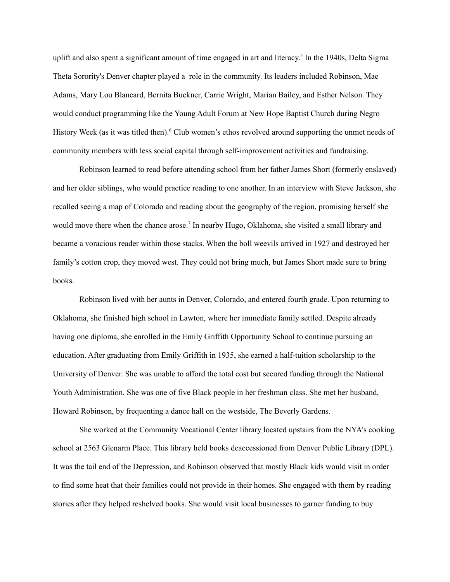uplift and also spent a significant amount of time engaged in art and literacy. 5 In the 1940s, Delta Sigma Theta Sorority's Denver chapter played a role in the community. Its leaders included Robinson, Mae Adams, Mary Lou Blancard, Bernita Buckner, Carrie Wright, Marian Bailey, and Esther Nelson. They would conduct programming like the Young Adult Forum at New Hope Baptist Church during Negro History Week (as it was titled then). <sup>6</sup> Club women's ethos revolved around supporting the unmet needs of community members with less social capital through self-improvement activities and fundraising.

Robinson learned to read before attending school from her father James Short (formerly enslaved) and her older siblings, who would practice reading to one another. In an interview with Steve Jackson, she recalled seeing a map of Colorado and reading about the geography of the region, promising herself she would move there when the chance arose.<sup>7</sup> In nearby Hugo, Oklahoma, she visited a small library and became a voracious reader within those stacks. When the boll weevils arrived in 1927 and destroyed her family's cotton crop, they moved west. They could not bring much, but James Short made sure to bring books.

Robinson lived with her aunts in Denver, Colorado, and entered fourth grade. Upon returning to Oklahoma, she finished high school in Lawton, where her immediate family settled. Despite already having one diploma, she enrolled in the Emily Griffith Opportunity School to continue pursuing an education. After graduating from Emily Griffith in 1935, she earned a half-tuition scholarship to the University of Denver. She was unable to afford the total cost but secured funding through the National Youth Administration. She was one of five Black people in her freshman class. She met her husband, Howard Robinson, by frequenting a dance hall on the westside, The Beverly Gardens.

She worked at the Community Vocational Center library located upstairs from the NYA's cooking school at 2563 Glenarm Place. This library held books deaccessioned from Denver Public Library (DPL). It was the tail end of the Depression, and Robinson observed that mostly Black kids would visit in order to find some heat that their families could not provide in their homes. She engaged with them by reading stories after they helped reshelved books. She would visit local businesses to garner funding to buy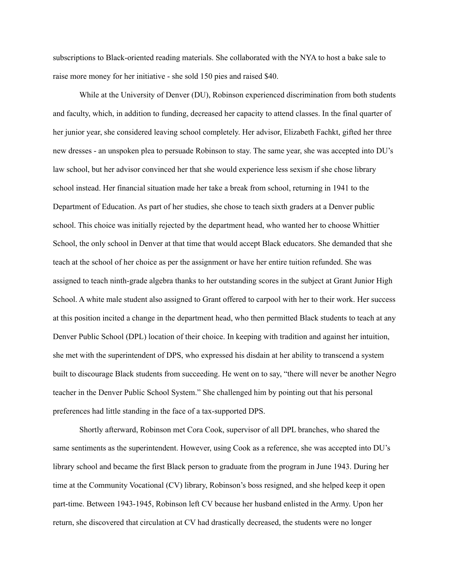subscriptions to Black-oriented reading materials. She collaborated with the NYA to host a bake sale to raise more money for her initiative - she sold 150 pies and raised \$40.

While at the University of Denver (DU), Robinson experienced discrimination from both students and faculty, which, in addition to funding, decreased her capacity to attend classes. In the final quarter of her junior year, she considered leaving school completely. Her advisor, Elizabeth Fachkt, gifted her three new dresses - an unspoken plea to persuade Robinson to stay. The same year, she was accepted into DU's law school, but her advisor convinced her that she would experience less sexism if she chose library school instead. Her financial situation made her take a break from school, returning in 1941 to the Department of Education. As part of her studies, she chose to teach sixth graders at a Denver public school. This choice was initially rejected by the department head, who wanted her to choose Whittier School, the only school in Denver at that time that would accept Black educators. She demanded that she teach at the school of her choice as per the assignment or have her entire tuition refunded. She was assigned to teach ninth-grade algebra thanks to her outstanding scores in the subject at Grant Junior High School. A white male student also assigned to Grant offered to carpool with her to their work. Her success at this position incited a change in the department head, who then permitted Black students to teach at any Denver Public School (DPL) location of their choice. In keeping with tradition and against her intuition, she met with the superintendent of DPS, who expressed his disdain at her ability to transcend a system built to discourage Black students from succeeding. He went on to say, "there will never be another Negro teacher in the Denver Public School System." She challenged him by pointing out that his personal preferences had little standing in the face of a tax-supported DPS.

Shortly afterward, Robinson met Cora Cook, supervisor of all DPL branches, who shared the same sentiments as the superintendent. However, using Cook as a reference, she was accepted into DU's library school and became the first Black person to graduate from the program in June 1943. During her time at the Community Vocational (CV) library, Robinson's boss resigned, and she helped keep it open part-time. Between 1943-1945, Robinson left CV because her husband enlisted in the Army. Upon her return, she discovered that circulation at CV had drastically decreased, the students were no longer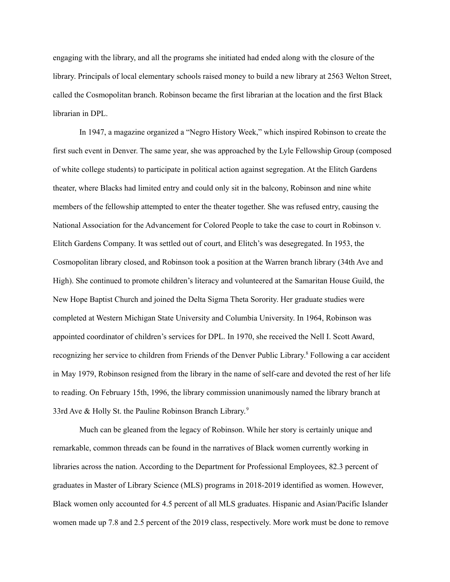engaging with the library, and all the programs she initiated had ended along with the closure of the library. Principals of local elementary schools raised money to build a new library at 2563 Welton Street, called the Cosmopolitan branch. Robinson became the first librarian at the location and the first Black librarian in DPL.

In 1947, a magazine organized a "Negro History Week," which inspired Robinson to create the first such event in Denver. The same year, she was approached by the Lyle Fellowship Group (composed of white college students) to participate in political action against segregation. At the Elitch Gardens theater, where Blacks had limited entry and could only sit in the balcony, Robinson and nine white members of the fellowship attempted to enter the theater together. She was refused entry, causing the National Association for the Advancement for Colored People to take the case to court in Robinson v. Elitch Gardens Company. It was settled out of court, and Elitch's was desegregated. In 1953, the Cosmopolitan library closed, and Robinson took a position at the Warren branch library (34th Ave and High). She continued to promote children's literacy and volunteered at the Samaritan House Guild, the New Hope Baptist Church and joined the Delta Sigma Theta Sorority. Her graduate studies were completed at Western Michigan State University and Columbia University. In 1964, Robinson was appointed coordinator of children's services for DPL. In 1970, she received the Nell I. Scott Award, recognizing her service to children from Friends of the Denver Public Library. <sup>8</sup> Following a car accident in May 1979, Robinson resigned from the library in the name of self-care and devoted the rest of her life to reading. On February 15th, 1996, the library commission unanimously named the library branch at 33rd Ave & Holly St. the Pauline Robinson Branch Library.<sup>9</sup>

Much can be gleaned from the legacy of Robinson. While her story is certainly unique and remarkable, common threads can be found in the narratives of Black women currently working in libraries across the nation. According to the Department for Professional Employees, 82.3 percent of graduates in Master of Library Science (MLS) programs in 2018-2019 identified as women. However, Black women only accounted for 4.5 percent of all MLS graduates. Hispanic and Asian/Pacific Islander women made up 7.8 and 2.5 percent of the 2019 class, respectively. More work must be done to remove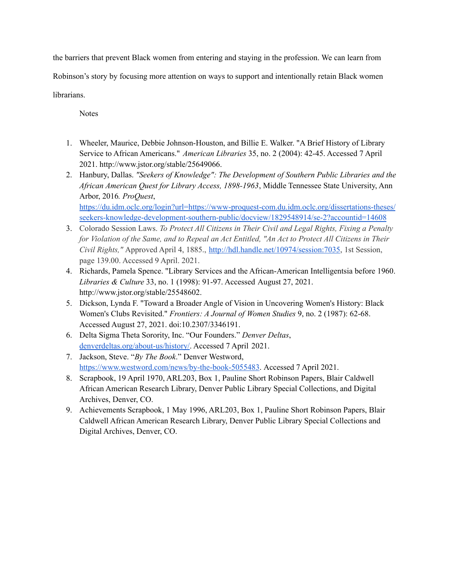the barriers that prevent Black women from entering and staying in the profession. We can learn from

Robinson's story by focusing more attention on ways to support and intentionally retain Black women

## librarians.

Notes

- 1. Wheeler, Maurice, Debbie Johnson-Houston, and Billie E. Walker. "A Brief History of Library Service to African Americans." *American Libraries* 35, no. 2 (2004): 42-45. Accessed 7 April 2021. http://www.jstor.org/stable/25649066.
- 2. Hanbury, Dallas. *"Seekers of Knowledge": The Development of Southern Public Libraries and the African American Quest for Library Access, 1898-1963*, Middle Tennessee State University, Ann Arbor, 2016*. ProQuest*, [https://du.idm.oclc.org/login?url=https://www-proquest-com.du.idm.oclc.org/dissertations-theses/](https://du.idm.oclc.org/login?url=https://www-proquest-com.du.idm.oclc.org/dissertations-theses/seekers-knowledge-development-southern-public/docview/1829548914/se-2?accountid=14608) [seekers-knowledge-development-southern-public/docview/1829548914/se-2?accountid=14608](https://du.idm.oclc.org/login?url=https://www-proquest-com.du.idm.oclc.org/dissertations-theses/seekers-knowledge-development-southern-public/docview/1829548914/se-2?accountid=14608)
- 3. Colorado Session Laws. *To Protect All Citizens in Their Civil and Legal Rights, Fixing a Penalty* for Violation of the Same, and to Repeal an Act Entitled, "An Act to Protect All Citizens in Their *Civil Rights,"* Approved April 4, 1885., <http://hdl.handle.net/10974/session:7035>, 1st Session, page 139.00. Accessed 9 April. 2021.
- 4. Richards, Pamela Spence. "Library Services and the African-American Intelligentsia before 1960. *Libraries & Culture* 33, no. 1 (1998): 91-97. Accessed August 27, 2021. http://www.jstor.org/stable/25548602.
- 5. Dickson, Lynda F. "Toward a Broader Angle of Vision in Uncovering Women's History: Black Women's Clubs Revisited." *Frontiers: A Journal of Women Studies* 9, no. 2 (1987): 62-68. Accessed August 27, 2021. doi:10.2307/3346191.
- 6. Delta Sigma Theta Sorority, Inc. "Our Founders." *Denver Deltas*, [denverdeltas.org/about-us/history/](https://denverdeltas.org/about-us/history/). Accessed 7 April 2021.
- 7. Jackson, Steve. "*By The Book*." Denver Westword, <https://www.westword.com/news/by-the-book-5055483>. Accessed 7 April 2021.
- 8. Scrapbook, 19 April 1970, ARL203, Box 1, Pauline Short Robinson Papers, Blair Caldwell African American Research Library, Denver Public Library Special Collections, and Digital Archives, Denver, CO.
- 9. Achievements Scrapbook, 1 May 1996, ARL203, Box 1, Pauline Short Robinson Papers, Blair Caldwell African American Research Library, Denver Public Library Special Collections and Digital Archives, Denver, CO.